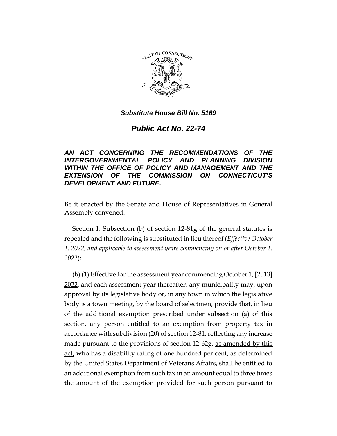

*Public Act No. 22-74*

## *AN ACT CONCERNING THE RECOMMENDATIONS OF THE INTERGOVERNMENTAL POLICY AND PLANNING DIVISION WITHIN THE OFFICE OF POLICY AND MANAGEMENT AND THE EXTENSION OF THE COMMISSION ON CONNECTICUT'S DEVELOPMENT AND FUTURE.*

Be it enacted by the Senate and House of Representatives in General Assembly convened:

Section 1. Subsection (b) of section 12-81g of the general statutes is repealed and the following is substituted in lieu thereof (*Effective October 1, 2022, and applicable to assessment years commencing on or after October 1, 2022*):

(b) (1) Effective for the assessment year commencing October 1, **[**2013**]** 2022, and each assessment year thereafter, any municipality may, upon approval by its legislative body or, in any town in which the legislative body is a town meeting, by the board of selectmen, provide that, in lieu of the additional exemption prescribed under subsection (a) of this section, any person entitled to an exemption from property tax in accordance with subdivision (20) of section 12-81, reflecting any increase made pursuant to the provisions of section 12-62g, as amended by this act, who has a disability rating of one hundred per cent, as determined by the United States Department of Veterans Affairs, shall be entitled to an additional exemption from such tax in an amount equal to three times the amount of the exemption provided for such person pursuant to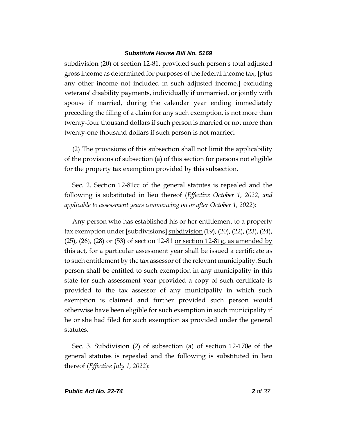subdivision (20) of section 12-81, provided such person's total adjusted gross income as determined for purposes of the federal income tax, **[**plus any other income not included in such adjusted income,**]** excluding veterans' disability payments, individually if unmarried, or jointly with spouse if married, during the calendar year ending immediately preceding the filing of a claim for any such exemption, is not more than twenty-four thousand dollars if such person is married or not more than twenty-one thousand dollars if such person is not married.

(2) The provisions of this subsection shall not limit the applicability of the provisions of subsection (a) of this section for persons not eligible for the property tax exemption provided by this subsection.

Sec. 2. Section 12-81cc of the general statutes is repealed and the following is substituted in lieu thereof (*Effective October 1, 2022, and applicable to assessment years commencing on or after October 1, 2022*):

Any person who has established his or her entitlement to a property tax exemption under **[**subdivisions**]** subdivision (19), (20), (22), (23), (24),  $(25)$ ,  $(26)$ ,  $(28)$  or  $(53)$  of section 12-81 or section 12-81g, as amended by this act, for a particular assessment year shall be issued a certificate as to such entitlement by the tax assessor of the relevant municipality. Such person shall be entitled to such exemption in any municipality in this state for such assessment year provided a copy of such certificate is provided to the tax assessor of any municipality in which such exemption is claimed and further provided such person would otherwise have been eligible for such exemption in such municipality if he or she had filed for such exemption as provided under the general statutes.

Sec. 3. Subdivision (2) of subsection (a) of section 12-170e of the general statutes is repealed and the following is substituted in lieu thereof (*Effective July 1, 2022*):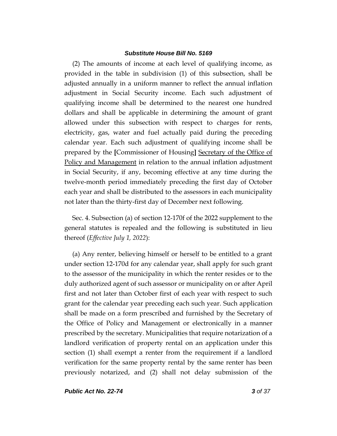(2) The amounts of income at each level of qualifying income, as provided in the table in subdivision (1) of this subsection, shall be adjusted annually in a uniform manner to reflect the annual inflation adjustment in Social Security income. Each such adjustment of qualifying income shall be determined to the nearest one hundred dollars and shall be applicable in determining the amount of grant allowed under this subsection with respect to charges for rents, electricity, gas, water and fuel actually paid during the preceding calendar year. Each such adjustment of qualifying income shall be prepared by the **[**Commissioner of Housing**]** Secretary of the Office of Policy and Management in relation to the annual inflation adjustment in Social Security, if any, becoming effective at any time during the twelve-month period immediately preceding the first day of October each year and shall be distributed to the assessors in each municipality not later than the thirty-first day of December next following.

Sec. 4. Subsection (a) of section 12-170f of the 2022 supplement to the general statutes is repealed and the following is substituted in lieu thereof (*Effective July 1, 2022*):

(a) Any renter, believing himself or herself to be entitled to a grant under section 12-170d for any calendar year, shall apply for such grant to the assessor of the municipality in which the renter resides or to the duly authorized agent of such assessor or municipality on or after April first and not later than October first of each year with respect to such grant for the calendar year preceding each such year. Such application shall be made on a form prescribed and furnished by the Secretary of the Office of Policy and Management or electronically in a manner prescribed by the secretary. Municipalities that require notarization of a landlord verification of property rental on an application under this section (1) shall exempt a renter from the requirement if a landlord verification for the same property rental by the same renter has been previously notarized, and (2) shall not delay submission of the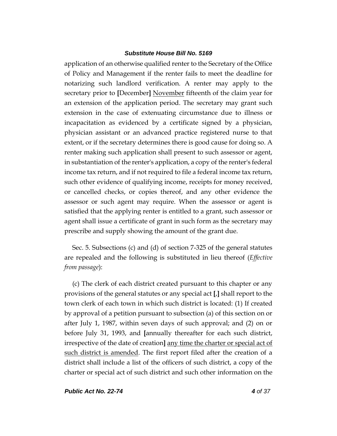application of an otherwise qualified renter to the Secretary of the Office of Policy and Management if the renter fails to meet the deadline for notarizing such landlord verification. A renter may apply to the secretary prior to **[**December**]** November fifteenth of the claim year for an extension of the application period. The secretary may grant such extension in the case of extenuating circumstance due to illness or incapacitation as evidenced by a certificate signed by a physician, physician assistant or an advanced practice registered nurse to that extent, or if the secretary determines there is good cause for doing so. A renter making such application shall present to such assessor or agent, in substantiation of the renter's application, a copy of the renter's federal income tax return, and if not required to file a federal income tax return, such other evidence of qualifying income, receipts for money received, or cancelled checks, or copies thereof, and any other evidence the assessor or such agent may require. When the assessor or agent is satisfied that the applying renter is entitled to a grant, such assessor or agent shall issue a certificate of grant in such form as the secretary may prescribe and supply showing the amount of the grant due.

Sec. 5. Subsections (c) and (d) of section 7-325 of the general statutes are repealed and the following is substituted in lieu thereof (*Effective from passage*):

(c) The clerk of each district created pursuant to this chapter or any provisions of the general statutes or any special act **[**,**]** shall report to the town clerk of each town in which such district is located: (1) If created by approval of a petition pursuant to subsection (a) of this section on or after July 1, 1987, within seven days of such approval; and (2) on or before July 31, 1993, and **[**annually thereafter for each such district, irrespective of the date of creation**]** any time the charter or special act of such district is amended. The first report filed after the creation of a district shall include a list of the officers of such district, a copy of the charter or special act of such district and such other information on the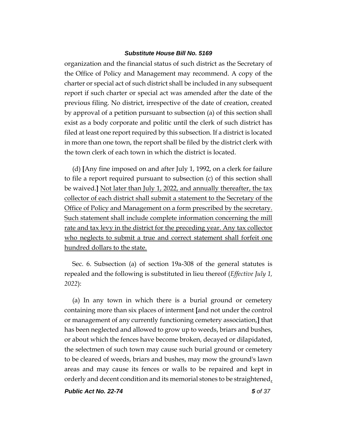organization and the financial status of such district as the Secretary of the Office of Policy and Management may recommend. A copy of the charter or special act of such district shall be included in any subsequent report if such charter or special act was amended after the date of the previous filing. No district, irrespective of the date of creation, created by approval of a petition pursuant to subsection (a) of this section shall exist as a body corporate and politic until the clerk of such district has filed at least one report required by this subsection. If a district is located in more than one town, the report shall be filed by the district clerk with the town clerk of each town in which the district is located.

(d) **[**Any fine imposed on and after July 1, 1992, on a clerk for failure to file a report required pursuant to subsection (c) of this section shall be waived.**]** Not later than July 1, 2022, and annually thereafter, the tax collector of each district shall submit a statement to the Secretary of the Office of Policy and Management on a form prescribed by the secretary. Such statement shall include complete information concerning the mill rate and tax levy in the district for the preceding year. Any tax collector who neglects to submit a true and correct statement shall forfeit one hundred dollars to the state.

Sec. 6. Subsection (a) of section 19a-308 of the general statutes is repealed and the following is substituted in lieu thereof (*Effective July 1, 2022*):

(a) In any town in which there is a burial ground or cemetery containing more than six places of interment **[**and not under the control or management of any currently functioning cemetery association,**]** that has been neglected and allowed to grow up to weeds, briars and bushes, or about which the fences have become broken, decayed or dilapidated, the selectmen of such town may cause such burial ground or cemetery to be cleared of weeds, briars and bushes, may mow the ground's lawn areas and may cause its fences or walls to be repaired and kept in orderly and decent condition and its memorial stones to be straightened,

*Public Act No. 22-74 5 of 37*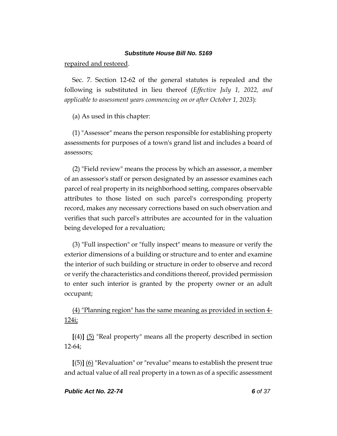repaired and restored.

Sec. 7. Section 12-62 of the general statutes is repealed and the following is substituted in lieu thereof (*Effective July 1, 2022, and applicable to assessment years commencing on or after October 1, 2023*):

(a) As used in this chapter:

(1) "Assessor" means the person responsible for establishing property assessments for purposes of a town's grand list and includes a board of assessors;

(2) "Field review" means the process by which an assessor, a member of an assessor's staff or person designated by an assessor examines each parcel of real property in its neighborhood setting, compares observable attributes to those listed on such parcel's corresponding property record, makes any necessary corrections based on such observation and verifies that such parcel's attributes are accounted for in the valuation being developed for a revaluation;

(3) "Full inspection" or "fully inspect" means to measure or verify the exterior dimensions of a building or structure and to enter and examine the interior of such building or structure in order to observe and record or verify the characteristics and conditions thereof, provided permission to enter such interior is granted by the property owner or an adult occupant;

(4) "Planning region" has the same meaning as provided in section 4- 124i;

**[**(4)**]** (5) "Real property" means all the property described in section 12-64;

**[**(5)**]** (6) "Revaluation" or "revalue" means to establish the present true and actual value of all real property in a town as of a specific assessment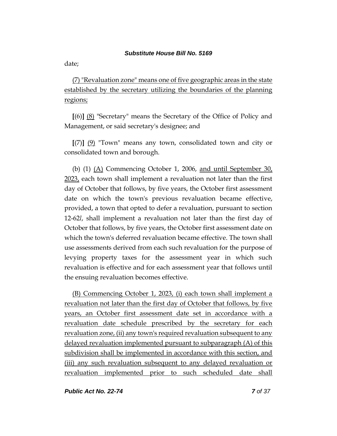date;

(7) "Revaluation zone" means one of five geographic areas in the state established by the secretary utilizing the boundaries of the planning regions;

**[**(6)**]** (8) "Secretary" means the Secretary of the Office of Policy and Management, or said secretary's designee; and

**[**(7)**]** (9) "Town" means any town, consolidated town and city or consolidated town and borough.

(b) (1)  $(A)$  Commencing October 1, 2006, and until September 30, 2023, each town shall implement a revaluation not later than the first day of October that follows, by five years, the October first assessment date on which the town's previous revaluation became effective, provided, a town that opted to defer a revaluation, pursuant to section 12-62*l*, shall implement a revaluation not later than the first day of October that follows, by five years, the October first assessment date on which the town's deferred revaluation became effective. The town shall use assessments derived from each such revaluation for the purpose of levying property taxes for the assessment year in which such revaluation is effective and for each assessment year that follows until the ensuing revaluation becomes effective.

(B) Commencing October 1, 2023, (i) each town shall implement a revaluation not later than the first day of October that follows, by five years, an October first assessment date set in accordance with a revaluation date schedule prescribed by the secretary for each revaluation zone, (ii) any town's required revaluation subsequent to any delayed revaluation implemented pursuant to subparagraph (A) of this subdivision shall be implemented in accordance with this section, and (iii) any such revaluation subsequent to any delayed revaluation or revaluation implemented prior to such scheduled date shall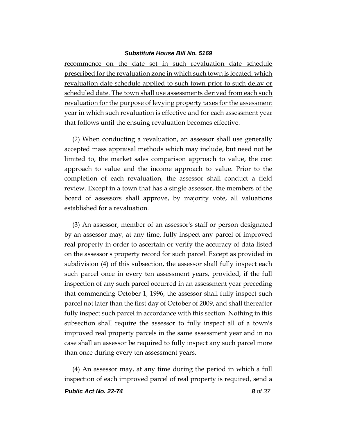recommence on the date set in such revaluation date schedule prescribed for the revaluation zone in which such town is located, which revaluation date schedule applied to such town prior to such delay or scheduled date. The town shall use assessments derived from each such revaluation for the purpose of levying property taxes for the assessment year in which such revaluation is effective and for each assessment year that follows until the ensuing revaluation becomes effective.

(2) When conducting a revaluation, an assessor shall use generally accepted mass appraisal methods which may include, but need not be limited to, the market sales comparison approach to value, the cost approach to value and the income approach to value. Prior to the completion of each revaluation, the assessor shall conduct a field review. Except in a town that has a single assessor, the members of the board of assessors shall approve, by majority vote, all valuations established for a revaluation.

(3) An assessor, member of an assessor's staff or person designated by an assessor may, at any time, fully inspect any parcel of improved real property in order to ascertain or verify the accuracy of data listed on the assessor's property record for such parcel. Except as provided in subdivision (4) of this subsection, the assessor shall fully inspect each such parcel once in every ten assessment years, provided, if the full inspection of any such parcel occurred in an assessment year preceding that commencing October 1, 1996, the assessor shall fully inspect such parcel not later than the first day of October of 2009, and shall thereafter fully inspect such parcel in accordance with this section. Nothing in this subsection shall require the assessor to fully inspect all of a town's improved real property parcels in the same assessment year and in no case shall an assessor be required to fully inspect any such parcel more than once during every ten assessment years.

(4) An assessor may, at any time during the period in which a full inspection of each improved parcel of real property is required, send a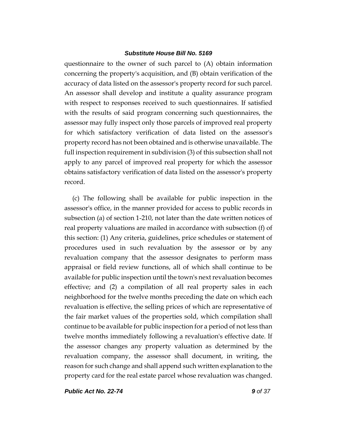questionnaire to the owner of such parcel to (A) obtain information concerning the property's acquisition, and (B) obtain verification of the accuracy of data listed on the assessor's property record for such parcel. An assessor shall develop and institute a quality assurance program with respect to responses received to such questionnaires. If satisfied with the results of said program concerning such questionnaires, the assessor may fully inspect only those parcels of improved real property for which satisfactory verification of data listed on the assessor's property record has not been obtained and is otherwise unavailable. The full inspection requirement in subdivision (3) of this subsection shall not apply to any parcel of improved real property for which the assessor obtains satisfactory verification of data listed on the assessor's property record.

(c) The following shall be available for public inspection in the assessor's office, in the manner provided for access to public records in subsection (a) of section 1-210, not later than the date written notices of real property valuations are mailed in accordance with subsection (f) of this section: (1) Any criteria, guidelines, price schedules or statement of procedures used in such revaluation by the assessor or by any revaluation company that the assessor designates to perform mass appraisal or field review functions, all of which shall continue to be available for public inspection until the town's next revaluation becomes effective; and (2) a compilation of all real property sales in each neighborhood for the twelve months preceding the date on which each revaluation is effective, the selling prices of which are representative of the fair market values of the properties sold, which compilation shall continue to be available for public inspection for a period of not less than twelve months immediately following a revaluation's effective date. If the assessor changes any property valuation as determined by the revaluation company, the assessor shall document, in writing, the reason for such change and shall append such written explanation to the property card for the real estate parcel whose revaluation was changed.

*Public Act No. 22-74 9 of 37*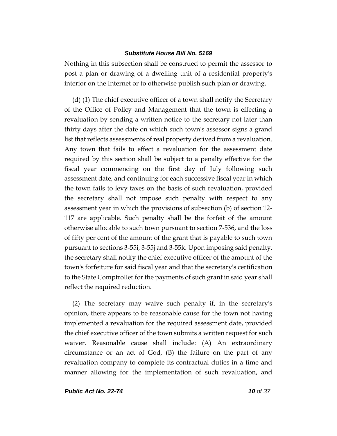Nothing in this subsection shall be construed to permit the assessor to post a plan or drawing of a dwelling unit of a residential property's interior on the Internet or to otherwise publish such plan or drawing.

(d) (1) The chief executive officer of a town shall notify the Secretary of the Office of Policy and Management that the town is effecting a revaluation by sending a written notice to the secretary not later than thirty days after the date on which such town's assessor signs a grand list that reflects assessments of real property derived from a revaluation. Any town that fails to effect a revaluation for the assessment date required by this section shall be subject to a penalty effective for the fiscal year commencing on the first day of July following such assessment date, and continuing for each successive fiscal year in which the town fails to levy taxes on the basis of such revaluation, provided the secretary shall not impose such penalty with respect to any assessment year in which the provisions of subsection (b) of section 12- 117 are applicable. Such penalty shall be the forfeit of the amount otherwise allocable to such town pursuant to section 7-536, and the loss of fifty per cent of the amount of the grant that is payable to such town pursuant to sections 3-55i, 3-55j and 3-55k. Upon imposing said penalty, the secretary shall notify the chief executive officer of the amount of the town's forfeiture for said fiscal year and that the secretary's certification to the State Comptroller for the payments of such grant in said year shall reflect the required reduction.

(2) The secretary may waive such penalty if, in the secretary's opinion, there appears to be reasonable cause for the town not having implemented a revaluation for the required assessment date, provided the chief executive officer of the town submits a written request for such waiver. Reasonable cause shall include: (A) An extraordinary circumstance or an act of God, (B) the failure on the part of any revaluation company to complete its contractual duties in a time and manner allowing for the implementation of such revaluation, and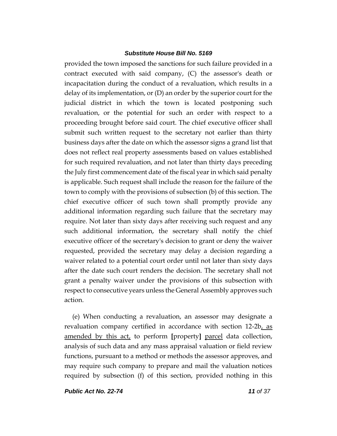provided the town imposed the sanctions for such failure provided in a contract executed with said company, (C) the assessor's death or incapacitation during the conduct of a revaluation, which results in a delay of its implementation, or (D) an order by the superior court for the judicial district in which the town is located postponing such revaluation, or the potential for such an order with respect to a proceeding brought before said court. The chief executive officer shall submit such written request to the secretary not earlier than thirty business days after the date on which the assessor signs a grand list that does not reflect real property assessments based on values established for such required revaluation, and not later than thirty days preceding the July first commencement date of the fiscal year in which said penalty is applicable. Such request shall include the reason for the failure of the town to comply with the provisions of subsection (b) of this section. The chief executive officer of such town shall promptly provide any additional information regarding such failure that the secretary may require. Not later than sixty days after receiving such request and any such additional information, the secretary shall notify the chief executive officer of the secretary's decision to grant or deny the waiver requested, provided the secretary may delay a decision regarding a waiver related to a potential court order until not later than sixty days after the date such court renders the decision. The secretary shall not grant a penalty waiver under the provisions of this subsection with respect to consecutive years unless the General Assembly approves such action.

(e) When conducting a revaluation, an assessor may designate a revaluation company certified in accordance with section 12-2b, as amended by this act, to perform **[**property**]** parcel data collection, analysis of such data and any mass appraisal valuation or field review functions, pursuant to a method or methods the assessor approves, and may require such company to prepare and mail the valuation notices required by subsection (f) of this section, provided nothing in this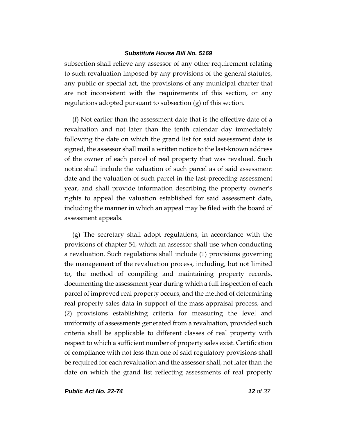subsection shall relieve any assessor of any other requirement relating to such revaluation imposed by any provisions of the general statutes, any public or special act, the provisions of any municipal charter that are not inconsistent with the requirements of this section, or any regulations adopted pursuant to subsection (g) of this section.

(f) Not earlier than the assessment date that is the effective date of a revaluation and not later than the tenth calendar day immediately following the date on which the grand list for said assessment date is signed, the assessor shall mail a written notice to the last-known address of the owner of each parcel of real property that was revalued. Such notice shall include the valuation of such parcel as of said assessment date and the valuation of such parcel in the last-preceding assessment year, and shall provide information describing the property owner's rights to appeal the valuation established for said assessment date, including the manner in which an appeal may be filed with the board of assessment appeals.

(g) The secretary shall adopt regulations, in accordance with the provisions of chapter 54, which an assessor shall use when conducting a revaluation. Such regulations shall include (1) provisions governing the management of the revaluation process, including, but not limited to, the method of compiling and maintaining property records, documenting the assessment year during which a full inspection of each parcel of improved real property occurs, and the method of determining real property sales data in support of the mass appraisal process, and (2) provisions establishing criteria for measuring the level and uniformity of assessments generated from a revaluation, provided such criteria shall be applicable to different classes of real property with respect to which a sufficient number of property sales exist. Certification of compliance with not less than one of said regulatory provisions shall be required for each revaluation and the assessor shall, not later than the date on which the grand list reflecting assessments of real property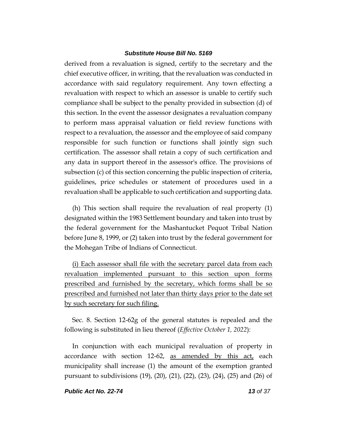derived from a revaluation is signed, certify to the secretary and the chief executive officer, in writing, that the revaluation was conducted in accordance with said regulatory requirement. Any town effecting a revaluation with respect to which an assessor is unable to certify such compliance shall be subject to the penalty provided in subsection (d) of this section. In the event the assessor designates a revaluation company to perform mass appraisal valuation or field review functions with respect to a revaluation, the assessor and the employee of said company responsible for such function or functions shall jointly sign such certification. The assessor shall retain a copy of such certification and any data in support thereof in the assessor's office. The provisions of subsection (c) of this section concerning the public inspection of criteria, guidelines, price schedules or statement of procedures used in a revaluation shall be applicable to such certification and supporting data.

(h) This section shall require the revaluation of real property (1) designated within the 1983 Settlement boundary and taken into trust by the federal government for the Mashantucket Pequot Tribal Nation before June 8, 1999, or (2) taken into trust by the federal government for the Mohegan Tribe of Indians of Connecticut.

(i) Each assessor shall file with the secretary parcel data from each revaluation implemented pursuant to this section upon forms prescribed and furnished by the secretary, which forms shall be so prescribed and furnished not later than thirty days prior to the date set by such secretary for such filing.

Sec. 8. Section 12-62g of the general statutes is repealed and the following is substituted in lieu thereof (*Effective October 1, 2022*):

In conjunction with each municipal revaluation of property in accordance with section 12-62, as amended by this act, each municipality shall increase (1) the amount of the exemption granted pursuant to subdivisions (19), (20), (21), (22), (23), (24), (25) and (26) of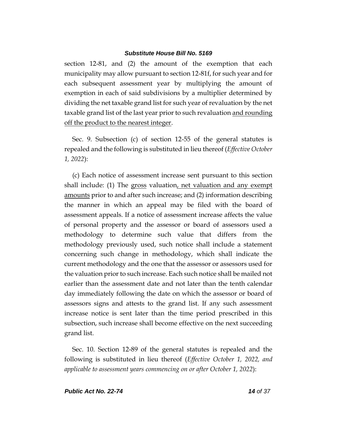section 12-81, and (2) the amount of the exemption that each municipality may allow pursuant to section 12-81f, for such year and for each subsequent assessment year by multiplying the amount of exemption in each of said subdivisions by a multiplier determined by dividing the net taxable grand list for such year of revaluation by the net taxable grand list of the last year prior to such revaluation and rounding off the product to the nearest integer.

Sec. 9. Subsection (c) of section 12-55 of the general statutes is repealed and the following is substituted in lieu thereof (*Effective October 1, 2022*):

(c) Each notice of assessment increase sent pursuant to this section shall include: (1) The gross valuation, net valuation and any exempt amounts prior to and after such increase; and (2) information describing the manner in which an appeal may be filed with the board of assessment appeals. If a notice of assessment increase affects the value of personal property and the assessor or board of assessors used a methodology to determine such value that differs from the methodology previously used, such notice shall include a statement concerning such change in methodology, which shall indicate the current methodology and the one that the assessor or assessors used for the valuation prior to such increase. Each such notice shall be mailed not earlier than the assessment date and not later than the tenth calendar day immediately following the date on which the assessor or board of assessors signs and attests to the grand list. If any such assessment increase notice is sent later than the time period prescribed in this subsection, such increase shall become effective on the next succeeding grand list.

Sec. 10. Section 12-89 of the general statutes is repealed and the following is substituted in lieu thereof (*Effective October 1, 2022, and applicable to assessment years commencing on or after October 1, 2022*):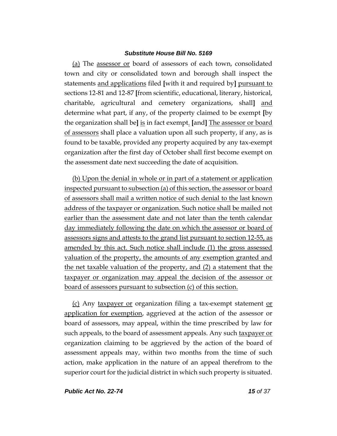(a) The assessor or board of assessors of each town, consolidated town and city or consolidated town and borough shall inspect the statements and applications filed **[**with it and required by**]** pursuant to sections 12-81 and 12-87 **[**from scientific, educational, literary, historical, charitable, agricultural and cemetery organizations, shall**]** and determine what part, if any, of the property claimed to be exempt **[**by the organization shall be**]** is in fact exempt. **[**and**]** The assessor or board of assessors shall place a valuation upon all such property, if any, as is found to be taxable, provided any property acquired by any tax-exempt organization after the first day of October shall first become exempt on the assessment date next succeeding the date of acquisition.

(b) Upon the denial in whole or in part of a statement or application inspected pursuant to subsection (a) of this section, the assessor or board of assessors shall mail a written notice of such denial to the last known address of the taxpayer or organization. Such notice shall be mailed not earlier than the assessment date and not later than the tenth calendar day immediately following the date on which the assessor or board of assessors signs and attests to the grand list pursuant to section 12-55, as amended by this act. Such notice shall include (1) the gross assessed valuation of the property, the amounts of any exemption granted and the net taxable valuation of the property, and (2) a statement that the taxpayer or organization may appeal the decision of the assessor or board of assessors pursuant to subsection (c) of this section.

(c) Any taxpayer or organization filing a tax-exempt statement or application for exemption, aggrieved at the action of the assessor or board of assessors, may appeal, within the time prescribed by law for such appeals, to the board of assessment appeals. Any such taxpayer or organization claiming to be aggrieved by the action of the board of assessment appeals may, within two months from the time of such action, make application in the nature of an appeal therefrom to the superior court for the judicial district in which such property is situated.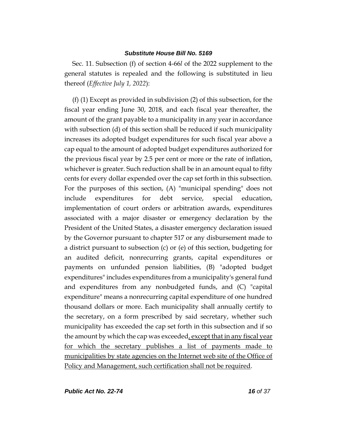Sec. 11. Subsection (f) of section 4-66*l* of the 2022 supplement to the general statutes is repealed and the following is substituted in lieu thereof (*Effective July 1, 2022*):

(f) (1) Except as provided in subdivision (2) of this subsection, for the fiscal year ending June 30, 2018, and each fiscal year thereafter, the amount of the grant payable to a municipality in any year in accordance with subsection (d) of this section shall be reduced if such municipality increases its adopted budget expenditures for such fiscal year above a cap equal to the amount of adopted budget expenditures authorized for the previous fiscal year by 2.5 per cent or more or the rate of inflation, whichever is greater. Such reduction shall be in an amount equal to fifty cents for every dollar expended over the cap set forth in this subsection. For the purposes of this section, (A) "municipal spending" does not include expenditures for debt service, special education, implementation of court orders or arbitration awards, expenditures associated with a major disaster or emergency declaration by the President of the United States, a disaster emergency declaration issued by the Governor pursuant to chapter 517 or any disbursement made to a district pursuant to subsection (c) or (e) of this section, budgeting for an audited deficit, nonrecurring grants, capital expenditures or payments on unfunded pension liabilities, (B) "adopted budget expenditures" includes expenditures from a municipality's general fund and expenditures from any nonbudgeted funds, and (C) "capital expenditure" means a nonrecurring capital expenditure of one hundred thousand dollars or more. Each municipality shall annually certify to the secretary, on a form prescribed by said secretary, whether such municipality has exceeded the cap set forth in this subsection and if so the amount by which the cap was exceeded, except that in any fiscal year for which the secretary publishes a list of payments made to municipalities by state agencies on the Internet web site of the Office of Policy and Management, such certification shall not be required.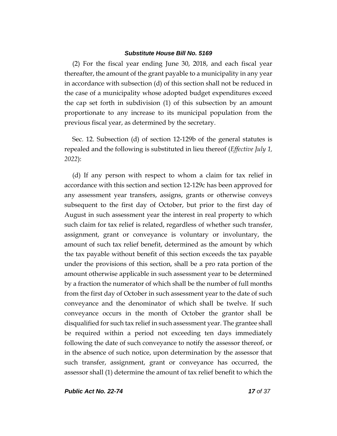(2) For the fiscal year ending June 30, 2018, and each fiscal year thereafter, the amount of the grant payable to a municipality in any year in accordance with subsection (d) of this section shall not be reduced in the case of a municipality whose adopted budget expenditures exceed the cap set forth in subdivision (1) of this subsection by an amount proportionate to any increase to its municipal population from the previous fiscal year, as determined by the secretary.

Sec. 12. Subsection (d) of section 12-129b of the general statutes is repealed and the following is substituted in lieu thereof (*Effective July 1, 2022*):

(d) If any person with respect to whom a claim for tax relief in accordance with this section and section 12-129c has been approved for any assessment year transfers, assigns, grants or otherwise conveys subsequent to the first day of October, but prior to the first day of August in such assessment year the interest in real property to which such claim for tax relief is related, regardless of whether such transfer, assignment, grant or conveyance is voluntary or involuntary, the amount of such tax relief benefit, determined as the amount by which the tax payable without benefit of this section exceeds the tax payable under the provisions of this section, shall be a pro rata portion of the amount otherwise applicable in such assessment year to be determined by a fraction the numerator of which shall be the number of full months from the first day of October in such assessment year to the date of such conveyance and the denominator of which shall be twelve. If such conveyance occurs in the month of October the grantor shall be disqualified for such tax relief in such assessment year. The grantee shall be required within a period not exceeding ten days immediately following the date of such conveyance to notify the assessor thereof, or in the absence of such notice, upon determination by the assessor that such transfer, assignment, grant or conveyance has occurred, the assessor shall (1) determine the amount of tax relief benefit to which the

*Public Act No. 22-74 17 of 37*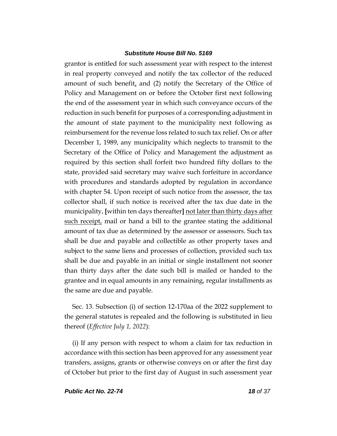grantor is entitled for such assessment year with respect to the interest in real property conveyed and notify the tax collector of the reduced amount of such benefit, and  $(2)$  notify the Secretary of the Office of Policy and Management on or before the October first next following the end of the assessment year in which such conveyance occurs of the reduction in such benefit for purposes of a corresponding adjustment in the amount of state payment to the municipality next following as reimbursement for the revenue loss related to such tax relief. On or after December 1, 1989, any municipality which neglects to transmit to the Secretary of the Office of Policy and Management the adjustment as required by this section shall forfeit two hundred fifty dollars to the state, provided said secretary may waive such forfeiture in accordance with procedures and standards adopted by regulation in accordance with chapter 54. Upon receipt of such notice from the assessor, the tax collector shall, if such notice is received after the tax due date in the municipality, **[**within ten days thereafter**]** not later than thirty days after such receipt, mail or hand a bill to the grantee stating the additional amount of tax due as determined by the assessor or assessors. Such tax shall be due and payable and collectible as other property taxes and subject to the same liens and processes of collection, provided such tax shall be due and payable in an initial or single installment not sooner than thirty days after the date such bill is mailed or handed to the grantee and in equal amounts in any remaining, regular installments as the same are due and payable.

Sec. 13. Subsection (i) of section 12-170aa of the 2022 supplement to the general statutes is repealed and the following is substituted in lieu thereof (*Effective July 1, 2022*):

(i) If any person with respect to whom a claim for tax reduction in accordance with this section has been approved for any assessment year transfers, assigns, grants or otherwise conveys on or after the first day of October but prior to the first day of August in such assessment year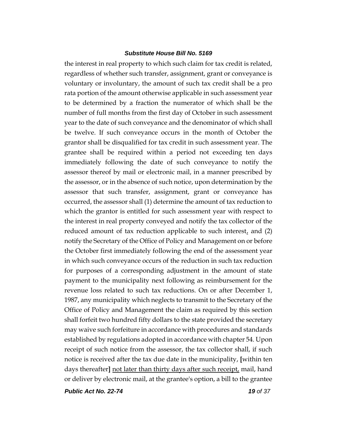the interest in real property to which such claim for tax credit is related, regardless of whether such transfer, assignment, grant or conveyance is voluntary or involuntary, the amount of such tax credit shall be a pro rata portion of the amount otherwise applicable in such assessment year to be determined by a fraction the numerator of which shall be the number of full months from the first day of October in such assessment year to the date of such conveyance and the denominator of which shall be twelve. If such conveyance occurs in the month of October the grantor shall be disqualified for tax credit in such assessment year. The grantee shall be required within a period not exceeding ten days immediately following the date of such conveyance to notify the assessor thereof by mail or electronic mail, in a manner prescribed by the assessor, or in the absence of such notice, upon determination by the assessor that such transfer, assignment, grant or conveyance has occurred, the assessor shall (1) determine the amount of tax reduction to which the grantor is entitled for such assessment year with respect to the interest in real property conveyed and notify the tax collector of the reduced amount of tax reduction applicable to such interest, and  $(2)$ notify the Secretary of the Office of Policy and Management on or before the October first immediately following the end of the assessment year in which such conveyance occurs of the reduction in such tax reduction for purposes of a corresponding adjustment in the amount of state payment to the municipality next following as reimbursement for the revenue loss related to such tax reductions. On or after December 1, 1987, any municipality which neglects to transmit to the Secretary of the Office of Policy and Management the claim as required by this section shall forfeit two hundred fifty dollars to the state provided the secretary may waive such forfeiture in accordance with procedures and standards established by regulations adopted in accordance with chapter 54. Upon receipt of such notice from the assessor, the tax collector shall, if such notice is received after the tax due date in the municipality, **[**within ten days thereafter**]** not later than thirty days after such receipt, mail, hand or deliver by electronic mail, at the grantee's option, a bill to the grantee

*Public Act No. 22-74 19 of 37*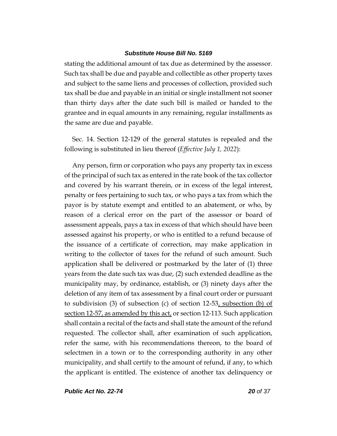stating the additional amount of tax due as determined by the assessor. Such tax shall be due and payable and collectible as other property taxes and subject to the same liens and processes of collection, provided such tax shall be due and payable in an initial or single installment not sooner than thirty days after the date such bill is mailed or handed to the grantee and in equal amounts in any remaining, regular installments as the same are due and payable.

Sec. 14. Section 12-129 of the general statutes is repealed and the following is substituted in lieu thereof (*Effective July 1, 2022*):

Any person, firm or corporation who pays any property tax in excess of the principal of such tax as entered in the rate book of the tax collector and covered by his warrant therein, or in excess of the legal interest, penalty or fees pertaining to such tax, or who pays a tax from which the payor is by statute exempt and entitled to an abatement, or who, by reason of a clerical error on the part of the assessor or board of assessment appeals, pays a tax in excess of that which should have been assessed against his property, or who is entitled to a refund because of the issuance of a certificate of correction, may make application in writing to the collector of taxes for the refund of such amount. Such application shall be delivered or postmarked by the later of (1) three years from the date such tax was due, (2) such extended deadline as the municipality may, by ordinance, establish, or (3) ninety days after the deletion of any item of tax assessment by a final court order or pursuant to subdivision (3) of subsection (c) of section 12-53, subsection (b) of section 12-57, as amended by this act, or section 12-113. Such application shall contain a recital of the facts and shall state the amount of the refund requested. The collector shall, after examination of such application, refer the same, with his recommendations thereon, to the board of selectmen in a town or to the corresponding authority in any other municipality, and shall certify to the amount of refund, if any, to which the applicant is entitled. The existence of another tax delinquency or

*Public Act No. 22-74 20 of 37*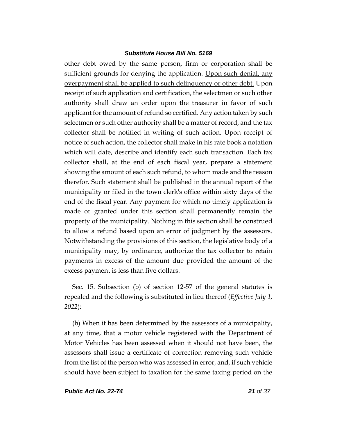other debt owed by the same person, firm or corporation shall be sufficient grounds for denying the application. Upon such denial, any overpayment shall be applied to such delinquency or other debt. Upon receipt of such application and certification, the selectmen or such other authority shall draw an order upon the treasurer in favor of such applicant for the amount of refund so certified. Any action taken by such selectmen or such other authority shall be a matter of record, and the tax collector shall be notified in writing of such action. Upon receipt of notice of such action, the collector shall make in his rate book a notation which will date, describe and identify each such transaction. Each tax collector shall, at the end of each fiscal year, prepare a statement showing the amount of each such refund, to whom made and the reason therefor. Such statement shall be published in the annual report of the municipality or filed in the town clerk's office within sixty days of the end of the fiscal year. Any payment for which no timely application is made or granted under this section shall permanently remain the property of the municipality. Nothing in this section shall be construed to allow a refund based upon an error of judgment by the assessors. Notwithstanding the provisions of this section, the legislative body of a municipality may, by ordinance, authorize the tax collector to retain payments in excess of the amount due provided the amount of the excess payment is less than five dollars.

Sec. 15. Subsection (b) of section 12-57 of the general statutes is repealed and the following is substituted in lieu thereof (*Effective July 1, 2022*):

(b) When it has been determined by the assessors of a municipality, at any time, that a motor vehicle registered with the Department of Motor Vehicles has been assessed when it should not have been, the assessors shall issue a certificate of correction removing such vehicle from the list of the person who was assessed in error, and, if such vehicle should have been subject to taxation for the same taxing period on the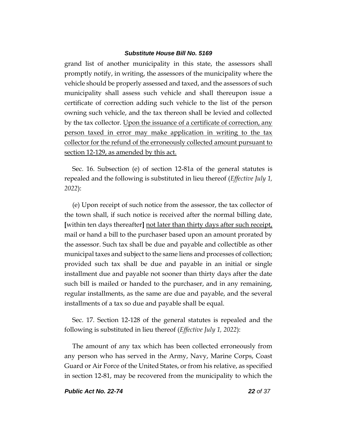grand list of another municipality in this state, the assessors shall promptly notify, in writing, the assessors of the municipality where the vehicle should be properly assessed and taxed, and the assessors of such municipality shall assess such vehicle and shall thereupon issue a certificate of correction adding such vehicle to the list of the person owning such vehicle, and the tax thereon shall be levied and collected by the tax collector. Upon the issuance of a certificate of correction, any person taxed in error may make application in writing to the tax collector for the refund of the erroneously collected amount pursuant to section 12-129, as amended by this act.

Sec. 16. Subsection (e) of section 12-81a of the general statutes is repealed and the following is substituted in lieu thereof (*Effective July 1, 2022*):

(e) Upon receipt of such notice from the assessor, the tax collector of the town shall, if such notice is received after the normal billing date, **[**within ten days thereafter**]** not later than thirty days after such receipt, mail or hand a bill to the purchaser based upon an amount prorated by the assessor. Such tax shall be due and payable and collectible as other municipal taxes and subject to the same liens and processes of collection; provided such tax shall be due and payable in an initial or single installment due and payable not sooner than thirty days after the date such bill is mailed or handed to the purchaser, and in any remaining, regular installments, as the same are due and payable, and the several installments of a tax so due and payable shall be equal.

Sec. 17. Section 12-128 of the general statutes is repealed and the following is substituted in lieu thereof (*Effective July 1, 2022*):

The amount of any tax which has been collected erroneously from any person who has served in the Army, Navy, Marine Corps, Coast Guard or Air Force of the United States, or from his relative, as specified in section 12-81, may be recovered from the municipality to which the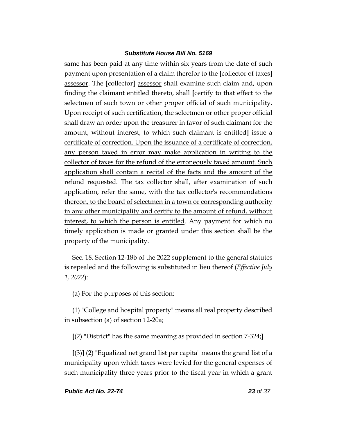same has been paid at any time within six years from the date of such payment upon presentation of a claim therefor to the **[**collector of taxes**]** assessor. The **[**collector**]** assessor shall examine such claim and, upon finding the claimant entitled thereto, shall **[**certify to that effect to the selectmen of such town or other proper official of such municipality. Upon receipt of such certification, the selectmen or other proper official shall draw an order upon the treasurer in favor of such claimant for the amount, without interest, to which such claimant is entitled**]** issue a certificate of correction. Upon the issuance of a certificate of correction, any person taxed in error may make application in writing to the collector of taxes for the refund of the erroneously taxed amount. Such application shall contain a recital of the facts and the amount of the refund requested. The tax collector shall, after examination of such application, refer the same, with the tax collector's recommendations thereon, to the board of selectmen in a town or corresponding authority in any other municipality and certify to the amount of refund, without interest, to which the person is entitled. Any payment for which no timely application is made or granted under this section shall be the property of the municipality.

Sec. 18. Section 12-18b of the 2022 supplement to the general statutes is repealed and the following is substituted in lieu thereof (*Effective July 1, 2022*):

(a) For the purposes of this section:

(1) "College and hospital property" means all real property described in subsection (a) of section 12-20a;

**[**(2) "District" has the same meaning as provided in section 7-324;**]**

**[**(3)**]** (2) "Equalized net grand list per capita" means the grand list of a municipality upon which taxes were levied for the general expenses of such municipality three years prior to the fiscal year in which a grant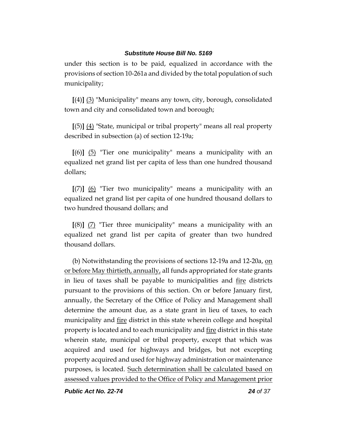under this section is to be paid, equalized in accordance with the provisions of section 10-261a and divided by the total population of such municipality;

**[**(4)**]** (3) "Municipality" means any town, city, borough, consolidated town and city and consolidated town and borough;

**[**(5)**]** (4) "State, municipal or tribal property" means all real property described in subsection (a) of section 12-19a;

**[**(6)**]** (5) "Tier one municipality" means a municipality with an equalized net grand list per capita of less than one hundred thousand dollars;

**[**(7)**]** (6) "Tier two municipality" means a municipality with an equalized net grand list per capita of one hundred thousand dollars to two hundred thousand dollars; and

**[**(8)**]** (7) "Tier three municipality" means a municipality with an equalized net grand list per capita of greater than two hundred thousand dollars.

(b) Notwithstanding the provisions of sections 12-19a and 12-20a, on or before May thirtieth, annually, all funds appropriated for state grants in lieu of taxes shall be payable to municipalities and fire districts pursuant to the provisions of this section. On or before January first, annually, the Secretary of the Office of Policy and Management shall determine the amount due, as a state grant in lieu of taxes, to each municipality and <u>fire</u> district in this state wherein college and hospital property is located and to each municipality and fire district in this state wherein state, municipal or tribal property, except that which was acquired and used for highways and bridges, but not excepting property acquired and used for highway administration or maintenance purposes, is located. Such determination shall be calculated based on assessed values provided to the Office of Policy and Management prior

*Public Act No. 22-74 24 of 37*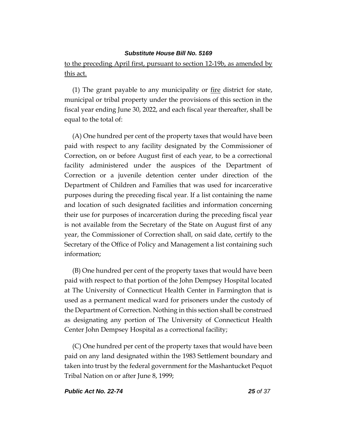to the preceding April first, pursuant to section 12-19b, as amended by this act.

(1) The grant payable to any municipality or  $f$  fire district for state, municipal or tribal property under the provisions of this section in the fiscal year ending June 30, 2022, and each fiscal year thereafter, shall be equal to the total of:

(A) One hundred per cent of the property taxes that would have been paid with respect to any facility designated by the Commissioner of Correction, on or before August first of each year, to be a correctional facility administered under the auspices of the Department of Correction or a juvenile detention center under direction of the Department of Children and Families that was used for incarcerative purposes during the preceding fiscal year. If a list containing the name and location of such designated facilities and information concerning their use for purposes of incarceration during the preceding fiscal year is not available from the Secretary of the State on August first of any year, the Commissioner of Correction shall, on said date, certify to the Secretary of the Office of Policy and Management a list containing such information;

(B) One hundred per cent of the property taxes that would have been paid with respect to that portion of the John Dempsey Hospital located at The University of Connecticut Health Center in Farmington that is used as a permanent medical ward for prisoners under the custody of the Department of Correction. Nothing in this section shall be construed as designating any portion of The University of Connecticut Health Center John Dempsey Hospital as a correctional facility;

(C) One hundred per cent of the property taxes that would have been paid on any land designated within the 1983 Settlement boundary and taken into trust by the federal government for the Mashantucket Pequot Tribal Nation on or after June 8, 1999;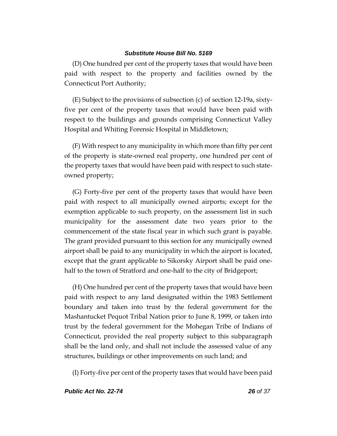(D) One hundred per cent of the property taxes that would have been paid with respect to the property and facilities owned by the Connecticut Port Authority;

(E) Subject to the provisions of subsection (c) of section 12-19a, sixtyfive per cent of the property taxes that would have been paid with respect to the buildings and grounds comprising Connecticut Valley Hospital and Whiting Forensic Hospital in Middletown;

(F) With respect to any municipality in which more than fifty per cent of the property is state-owned real property, one hundred per cent of the property taxes that would have been paid with respect to such stateowned property;

(G) Forty-five per cent of the property taxes that would have been paid with respect to all municipally owned airports; except for the exemption applicable to such property, on the assessment list in such municipality for the assessment date two years prior to the commencement of the state fiscal year in which such grant is payable. The grant provided pursuant to this section for any municipally owned airport shall be paid to any municipality in which the airport is located, except that the grant applicable to Sikorsky Airport shall be paid onehalf to the town of Stratford and one-half to the city of Bridgeport;

(H) One hundred per cent of the property taxes that would have been paid with respect to any land designated within the 1983 Settlement boundary and taken into trust by the federal government for the Mashantucket Pequot Tribal Nation prior to June 8, 1999, or taken into trust by the federal government for the Mohegan Tribe of Indians of Connecticut, provided the real property subject to this subparagraph shall be the land only, and shall not include the assessed value of any structures, buildings or other improvements on such land; and

(I) Forty-five per cent of the property taxes that would have been paid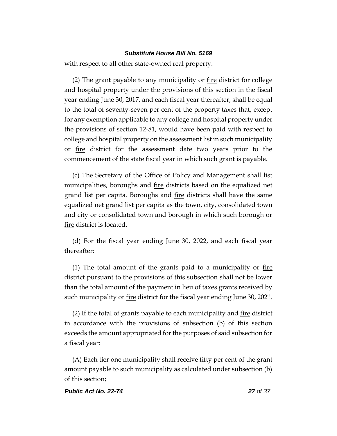with respect to all other state-owned real property.

(2) The grant payable to any municipality or  $f$ ire district for college and hospital property under the provisions of this section in the fiscal year ending June 30, 2017, and each fiscal year thereafter, shall be equal to the total of seventy-seven per cent of the property taxes that, except for any exemption applicable to any college and hospital property under the provisions of section 12-81, would have been paid with respect to college and hospital property on the assessment list in such municipality or fire district for the assessment date two years prior to the commencement of the state fiscal year in which such grant is payable.

(c) The Secretary of the Office of Policy and Management shall list municipalities, boroughs and fire districts based on the equalized net grand list per capita. Boroughs and <u>fire</u> districts shall have the same equalized net grand list per capita as the town, city, consolidated town and city or consolidated town and borough in which such borough or fire district is located.

(d) For the fiscal year ending June 30, 2022, and each fiscal year thereafter:

(1) The total amount of the grants paid to a municipality or  $f_1$ district pursuant to the provisions of this subsection shall not be lower than the total amount of the payment in lieu of taxes grants received by such municipality or <u>fire</u> district for the fiscal year ending June 30, 2021.

(2) If the total of grants payable to each municipality and fire district in accordance with the provisions of subsection (b) of this section exceeds the amount appropriated for the purposes of said subsection for a fiscal year:

(A) Each tier one municipality shall receive fifty per cent of the grant amount payable to such municipality as calculated under subsection (b) of this section;

#### *Public Act No. 22-74 27 of 37*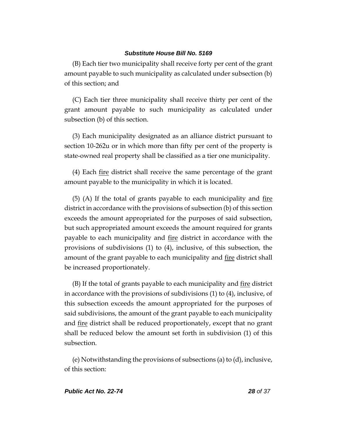(B) Each tier two municipality shall receive forty per cent of the grant amount payable to such municipality as calculated under subsection (b) of this section; and

(C) Each tier three municipality shall receive thirty per cent of the grant amount payable to such municipality as calculated under subsection (b) of this section.

(3) Each municipality designated as an alliance district pursuant to section 10-262u or in which more than fifty per cent of the property is state-owned real property shall be classified as a tier one municipality.

(4) Each fire district shall receive the same percentage of the grant amount payable to the municipality in which it is located.

 $(5)$  (A) If the total of grants payable to each municipality and fire district in accordance with the provisions of subsection (b) of this section exceeds the amount appropriated for the purposes of said subsection, but such appropriated amount exceeds the amount required for grants payable to each municipality and fire district in accordance with the provisions of subdivisions (1) to (4), inclusive, of this subsection, the amount of the grant payable to each municipality and fire district shall be increased proportionately.

 $(B)$  If the total of grants payable to each municipality and  $f_1$  district in accordance with the provisions of subdivisions (1) to (4), inclusive, of this subsection exceeds the amount appropriated for the purposes of said subdivisions, the amount of the grant payable to each municipality and fire district shall be reduced proportionately, except that no grant shall be reduced below the amount set forth in subdivision (1) of this subsection.

(e) Notwithstanding the provisions of subsections (a) to (d), inclusive, of this section: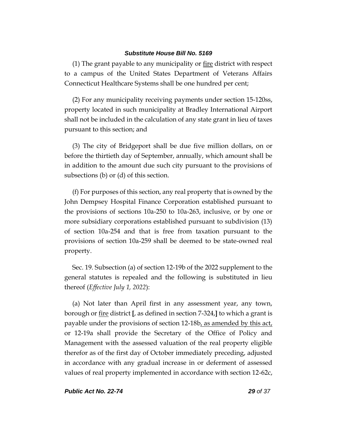(1) The grant payable to any municipality or fire district with respect to a campus of the United States Department of Veterans Affairs Connecticut Healthcare Systems shall be one hundred per cent;

(2) For any municipality receiving payments under section 15-120ss, property located in such municipality at Bradley International Airport shall not be included in the calculation of any state grant in lieu of taxes pursuant to this section; and

(3) The city of Bridgeport shall be due five million dollars, on or before the thirtieth day of September, annually, which amount shall be in addition to the amount due such city pursuant to the provisions of subsections (b) or (d) of this section.

(f) For purposes of this section, any real property that is owned by the John Dempsey Hospital Finance Corporation established pursuant to the provisions of sections 10a-250 to 10a-263, inclusive, or by one or more subsidiary corporations established pursuant to subdivision (13) of section 10a-254 and that is free from taxation pursuant to the provisions of section 10a-259 shall be deemed to be state-owned real property.

Sec. 19. Subsection (a) of section 12-19b of the 2022 supplement to the general statutes is repealed and the following is substituted in lieu thereof (*Effective July 1, 2022*):

(a) Not later than April first in any assessment year, any town, borough or fire district **[**, as defined in section 7-324,**]** to which a grant is payable under the provisions of section 12-18b, as amended by this act, or 12-19a shall provide the Secretary of the Office of Policy and Management with the assessed valuation of the real property eligible therefor as of the first day of October immediately preceding, adjusted in accordance with any gradual increase in or deferment of assessed values of real property implemented in accordance with section 12-62c,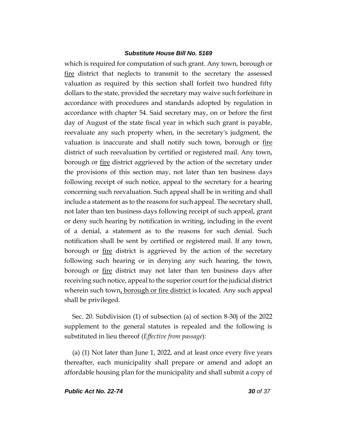which is required for computation of such grant. Any town, borough or fire district that neglects to transmit to the secretary the assessed valuation as required by this section shall forfeit two hundred fifty dollars to the state, provided the secretary may waive such forfeiture in accordance with procedures and standards adopted by regulation in accordance with chapter 54. Said secretary may, on or before the first day of August of the state fiscal year in which such grant is payable, reevaluate any such property when, in the secretary's judgment, the valuation is inaccurate and shall notify such town, borough or fire district of such reevaluation by certified or registered mail. Any town, borough or <u>fire</u> district aggrieved by the action of the secretary under the provisions of this section may, not later than ten business days following receipt of such notice, appeal to the secretary for a hearing concerning such reevaluation. Such appeal shall be in writing and shall include a statement as to the reasons for such appeal. The secretary shall, not later than ten business days following receipt of such appeal, grant or deny such hearing by notification in writing, including in the event of a denial, a statement as to the reasons for such denial. Such notification shall be sent by certified or registered mail. If any town, borough or <u>fire</u> district is aggrieved by the action of the secretary following such hearing or in denying any such hearing, the town, borough or fire district may not later than ten business days after receiving such notice, appeal to the superior court for the judicial district wherein such town, borough or fire district is located. Any such appeal shall be privileged.

Sec. 20. Subdivision (1) of subsection (a) of section 8-30j of the 2022 supplement to the general statutes is repealed and the following is substituted in lieu thereof (*Effective from passage*):

(a) (1) Not later than June 1, 2022, and at least once every five years thereafter, each municipality shall prepare or amend and adopt an affordable housing plan for the municipality and shall submit a copy of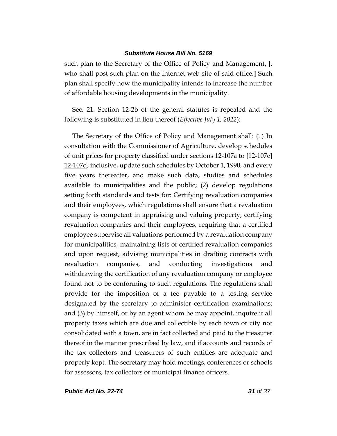such plan to the Secretary of the Office of Policy and Management. **[**, who shall post such plan on the Internet web site of said office.**]** Such plan shall specify how the municipality intends to increase the number of affordable housing developments in the municipality.

Sec. 21. Section 12-2b of the general statutes is repealed and the following is substituted in lieu thereof (*Effective July 1, 2022*):

The Secretary of the Office of Policy and Management shall: (1) In consultation with the Commissioner of Agriculture, develop schedules of unit prices for property classified under sections 12-107a to **[**12-107e**]** 12-107d, inclusive, update such schedules by October 1, 1990, and every five years thereafter, and make such data, studies and schedules available to municipalities and the public; (2) develop regulations setting forth standards and tests for: Certifying revaluation companies and their employees, which regulations shall ensure that a revaluation company is competent in appraising and valuing property, certifying revaluation companies and their employees, requiring that a certified employee supervise all valuations performed by a revaluation company for municipalities, maintaining lists of certified revaluation companies and upon request, advising municipalities in drafting contracts with revaluation companies, and conducting investigations and withdrawing the certification of any revaluation company or employee found not to be conforming to such regulations. The regulations shall provide for the imposition of a fee payable to a testing service designated by the secretary to administer certification examinations; and (3) by himself, or by an agent whom he may appoint, inquire if all property taxes which are due and collectible by each town or city not consolidated with a town, are in fact collected and paid to the treasurer thereof in the manner prescribed by law, and if accounts and records of the tax collectors and treasurers of such entities are adequate and properly kept. The secretary may hold meetings, conferences or schools for assessors, tax collectors or municipal finance officers.

*Public Act No. 22-74 31 of 37*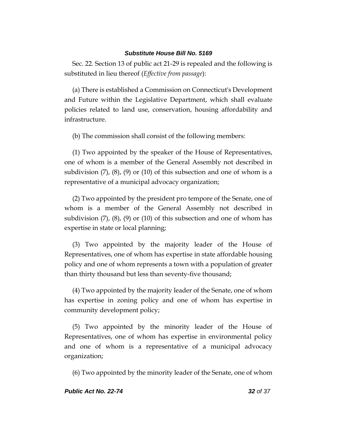Sec. 22. Section 13 of public act 21-29 is repealed and the following is substituted in lieu thereof (*Effective from passage*):

(a) There is established a Commission on Connecticut's Development and Future within the Legislative Department, which shall evaluate policies related to land use, conservation, housing affordability and infrastructure.

(b) The commission shall consist of the following members:

(1) Two appointed by the speaker of the House of Representatives, one of whom is a member of the General Assembly not described in subdivision (7), (8), (9) or (10) of this subsection and one of whom is a representative of a municipal advocacy organization;

(2) Two appointed by the president pro tempore of the Senate, one of whom is a member of the General Assembly not described in subdivision  $(7)$ ,  $(8)$ ,  $(9)$  or  $(10)$  of this subsection and one of whom has expertise in state or local planning;

(3) Two appointed by the majority leader of the House of Representatives, one of whom has expertise in state affordable housing policy and one of whom represents a town with a population of greater than thirty thousand but less than seventy-five thousand;

(4) Two appointed by the majority leader of the Senate, one of whom has expertise in zoning policy and one of whom has expertise in community development policy;

(5) Two appointed by the minority leader of the House of Representatives, one of whom has expertise in environmental policy and one of whom is a representative of a municipal advocacy organization;

(6) Two appointed by the minority leader of the Senate, one of whom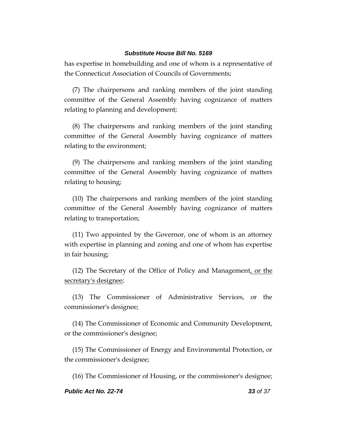has expertise in homebuilding and one of whom is a representative of the Connecticut Association of Councils of Governments;

(7) The chairpersons and ranking members of the joint standing committee of the General Assembly having cognizance of matters relating to planning and development;

(8) The chairpersons and ranking members of the joint standing committee of the General Assembly having cognizance of matters relating to the environment;

(9) The chairpersons and ranking members of the joint standing committee of the General Assembly having cognizance of matters relating to housing;

(10) The chairpersons and ranking members of the joint standing committee of the General Assembly having cognizance of matters relating to transportation;

(11) Two appointed by the Governor, one of whom is an attorney with expertise in planning and zoning and one of whom has expertise in fair housing;

(12) The Secretary of the Office of Policy and Management, or the secretary's designee;

(13) The Commissioner of Administrative Services, or the commissioner's designee;

(14) The Commissioner of Economic and Community Development, or the commissioner's designee;

(15) The Commissioner of Energy and Environmental Protection, or the commissioner's designee;

(16) The Commissioner of Housing, or the commissioner's designee;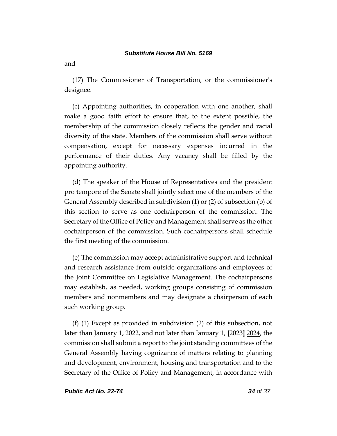and

(17) The Commissioner of Transportation, or the commissioner's designee.

(c) Appointing authorities, in cooperation with one another, shall make a good faith effort to ensure that, to the extent possible, the membership of the commission closely reflects the gender and racial diversity of the state. Members of the commission shall serve without compensation, except for necessary expenses incurred in the performance of their duties. Any vacancy shall be filled by the appointing authority.

(d) The speaker of the House of Representatives and the president pro tempore of the Senate shall jointly select one of the members of the General Assembly described in subdivision (1) or (2) of subsection (b) of this section to serve as one cochairperson of the commission. The Secretary of the Office of Policy and Management shall serve as the other cochairperson of the commission. Such cochairpersons shall schedule the first meeting of the commission.

(e) The commission may accept administrative support and technical and research assistance from outside organizations and employees of the Joint Committee on Legislative Management. The cochairpersons may establish, as needed, working groups consisting of commission members and nonmembers and may designate a chairperson of each such working group.

(f) (1) Except as provided in subdivision (2) of this subsection, not later than January 1, 2022, and not later than January 1, **[**2023**]** 2024, the commission shall submit a report to the joint standing committees of the General Assembly having cognizance of matters relating to planning and development, environment, housing and transportation and to the Secretary of the Office of Policy and Management, in accordance with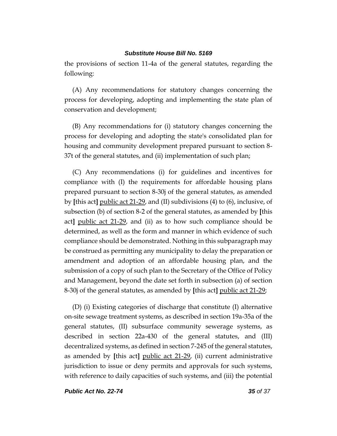the provisions of section 11-4a of the general statutes, regarding the following:

(A) Any recommendations for statutory changes concerning the process for developing, adopting and implementing the state plan of conservation and development;

(B) Any recommendations for (i) statutory changes concerning the process for developing and adopting the state's consolidated plan for housing and community development prepared pursuant to section 8- 37t of the general statutes, and (ii) implementation of such plan;

(C) Any recommendations (i) for guidelines and incentives for compliance with (I) the requirements for affordable housing plans prepared pursuant to section 8-30j of the general statutes, as amended by **[**this act**]** public act 21-29, and (II) subdivisions (4) to (6), inclusive, of subsection (b) of section 8-2 of the general statutes, as amended by **[**this act**]** public act 21-29, and (ii) as to how such compliance should be determined, as well as the form and manner in which evidence of such compliance should be demonstrated. Nothing in this subparagraph may be construed as permitting any municipality to delay the preparation or amendment and adoption of an affordable housing plan, and the submission of a copy of such plan to the Secretary of the Office of Policy and Management, beyond the date set forth in subsection (a) of section 8-30j of the general statutes, as amended by **[**this act**]** public act 21-29;

(D) (i) Existing categories of discharge that constitute (I) alternative on-site sewage treatment systems, as described in section 19a-35a of the general statutes, (II) subsurface community sewerage systems, as described in section 22a-430 of the general statutes, and (III) decentralized systems, as defined in section 7-245 of the general statutes, as amended by **[**this act**]** public act 21-29, (ii) current administrative jurisdiction to issue or deny permits and approvals for such systems, with reference to daily capacities of such systems, and (iii) the potential

*Public Act No. 22-74 35 of 37*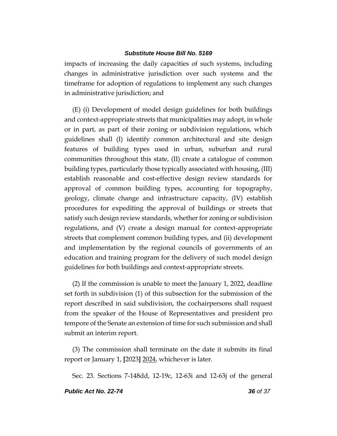impacts of increasing the daily capacities of such systems, including changes in administrative jurisdiction over such systems and the timeframe for adoption of regulations to implement any such changes in administrative jurisdiction; and

(E) (i) Development of model design guidelines for both buildings and context-appropriate streets that municipalities may adopt, in whole or in part, as part of their zoning or subdivision regulations, which guidelines shall (I) identify common architectural and site design features of building types used in urban, suburban and rural communities throughout this state, (II) create a catalogue of common building types, particularly those typically associated with housing, (III) establish reasonable and cost-effective design review standards for approval of common building types, accounting for topography, geology, climate change and infrastructure capacity, (IV) establish procedures for expediting the approval of buildings or streets that satisfy such design review standards, whether for zoning or subdivision regulations, and (V) create a design manual for context-appropriate streets that complement common building types, and (ii) development and implementation by the regional councils of governments of an education and training program for the delivery of such model design guidelines for both buildings and context-appropriate streets.

(2) If the commission is unable to meet the January 1, 2022, deadline set forth in subdivision (1) of this subsection for the submission of the report described in said subdivision, the cochairpersons shall request from the speaker of the House of Representatives and president pro tempore of the Senate an extension of time for such submission and shall submit an interim report.

(3) The commission shall terminate on the date it submits its final report or January 1, **[**2023**]** 2024, whichever is later.

Sec. 23. Sections 7-148dd, 12-19c, 12-63i and 12-63j of the general